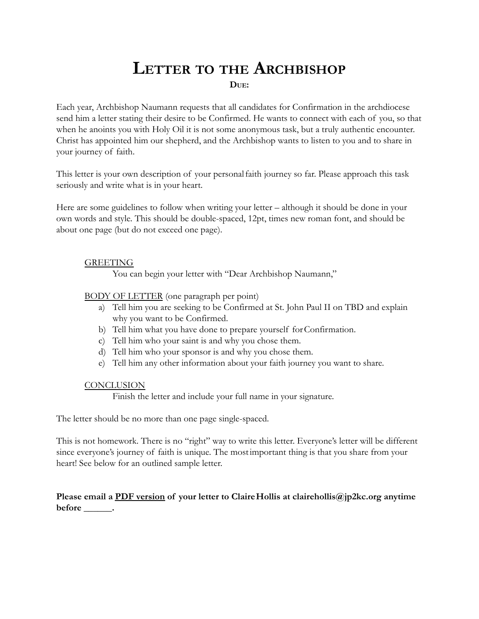## **LETTER TO THE ARCHBISHOP DUE:**

Each year, Archbishop Naumann requests that all candidates for Confirmation in the archdiocese send him a letter stating their desire to be Confirmed. He wants to connect with each of you, so that when he anoints you with Holy Oil it is not some anonymous task, but a truly authentic encounter. Christ has appointed him our shepherd, and the Archbishop wants to listen to you and to share in your journey of faith.

This letter is your own description of your personalfaith journey so far. Please approach this task seriously and write what is in your heart.

Here are some guidelines to follow when writing your letter – although it should be done in your own words and style. This should be double-spaced, 12pt, times new roman font, and should be about one page (but do not exceed one page).

## **GREETING**

You can begin your letter with "Dear Archbishop Naumann,"

BODY OF LETTER (one paragraph per point)

- a) Tell him you are seeking to be Confirmed at St. John Paul II on TBD and explain why you want to be Confirmed.
- b) Tell him what you have done to prepare yourself forConfirmation.
- c) Tell him who your saint is and why you chose them.
- d) Tell him who your sponsor is and why you chose them.
- e) Tell him any other information about your faith journey you want to share.

## **CONCLUSION**

Finish the letter and include your full name in your signature.

The letter should be no more than one page single-spaced.

This is not homework. There is no "right" way to write this letter. Everyone's letter will be different since everyone's journey of faith is unique. The mostimportant thing is that you share from your heart! See below for an outlined sample letter.

**Please email a PDF version of your letter to ClaireHollis at clairehollis@jp2kc.org anytime before \_\_\_\_\_\_.**